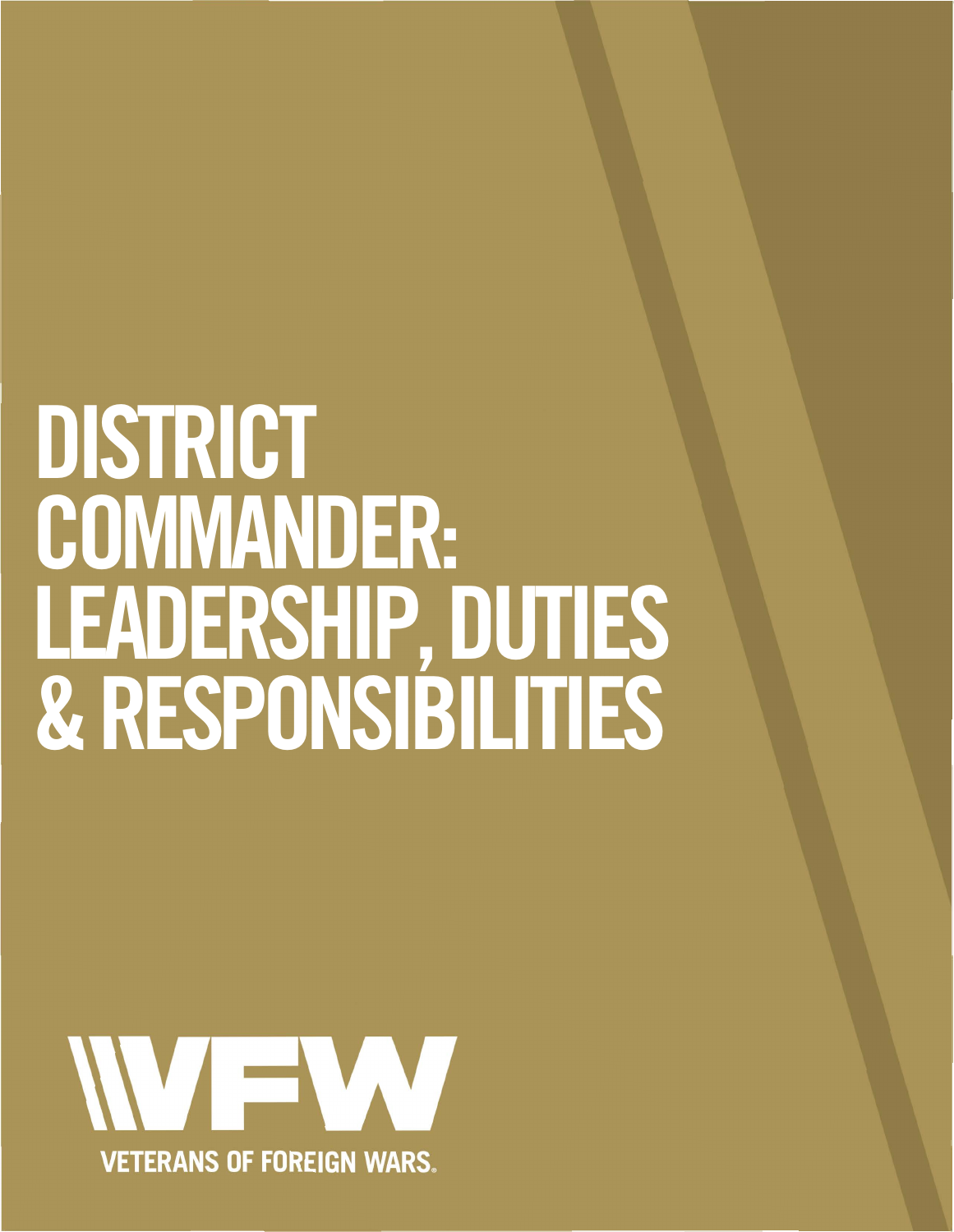# **DISTRICT COMMANDER: LEADERSHIP, DUTIES & RESPONSIBILITIES**

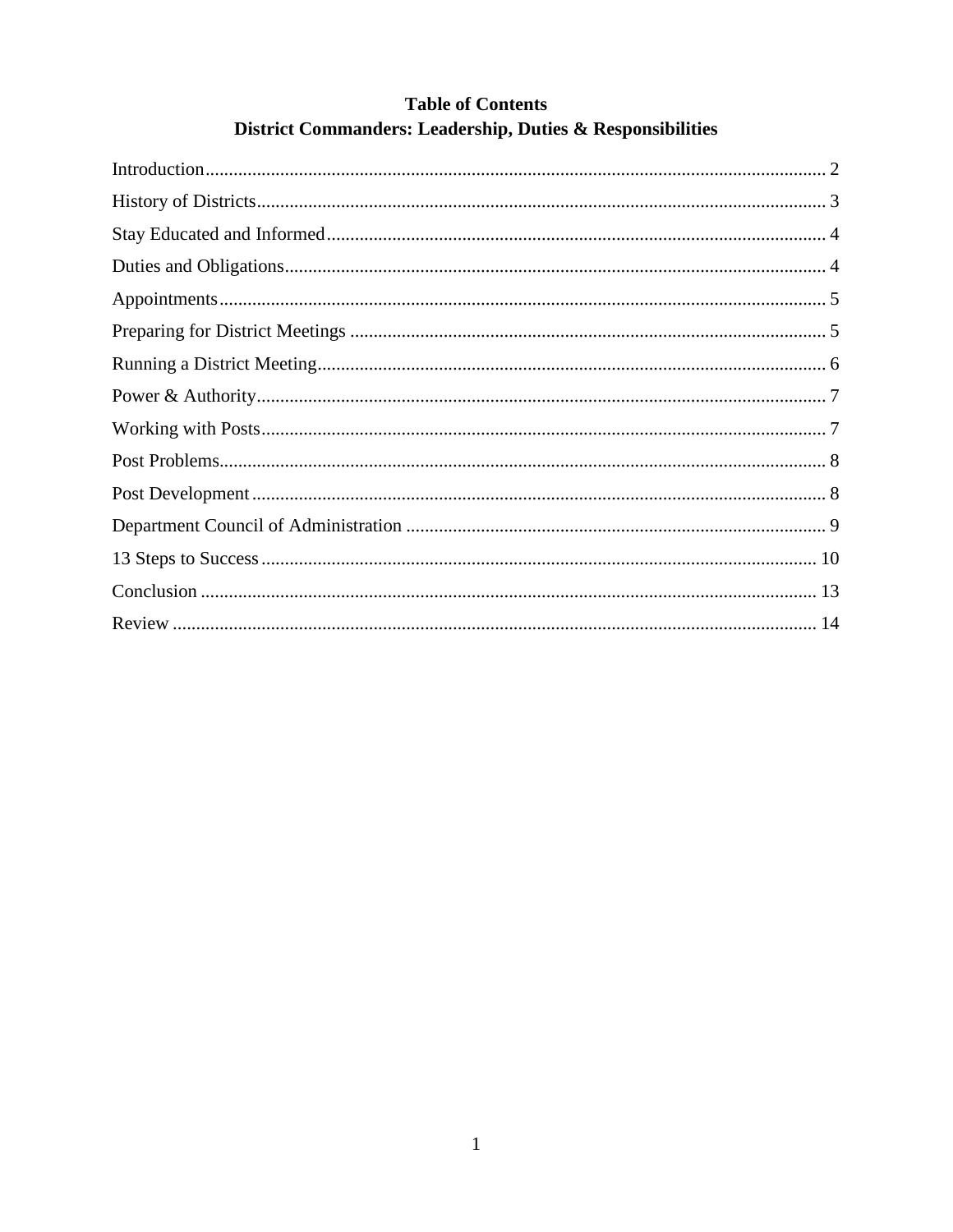| <b>Table of Contents</b>                                   |  |
|------------------------------------------------------------|--|
| District Commanders: Leadership, Duties & Responsibilities |  |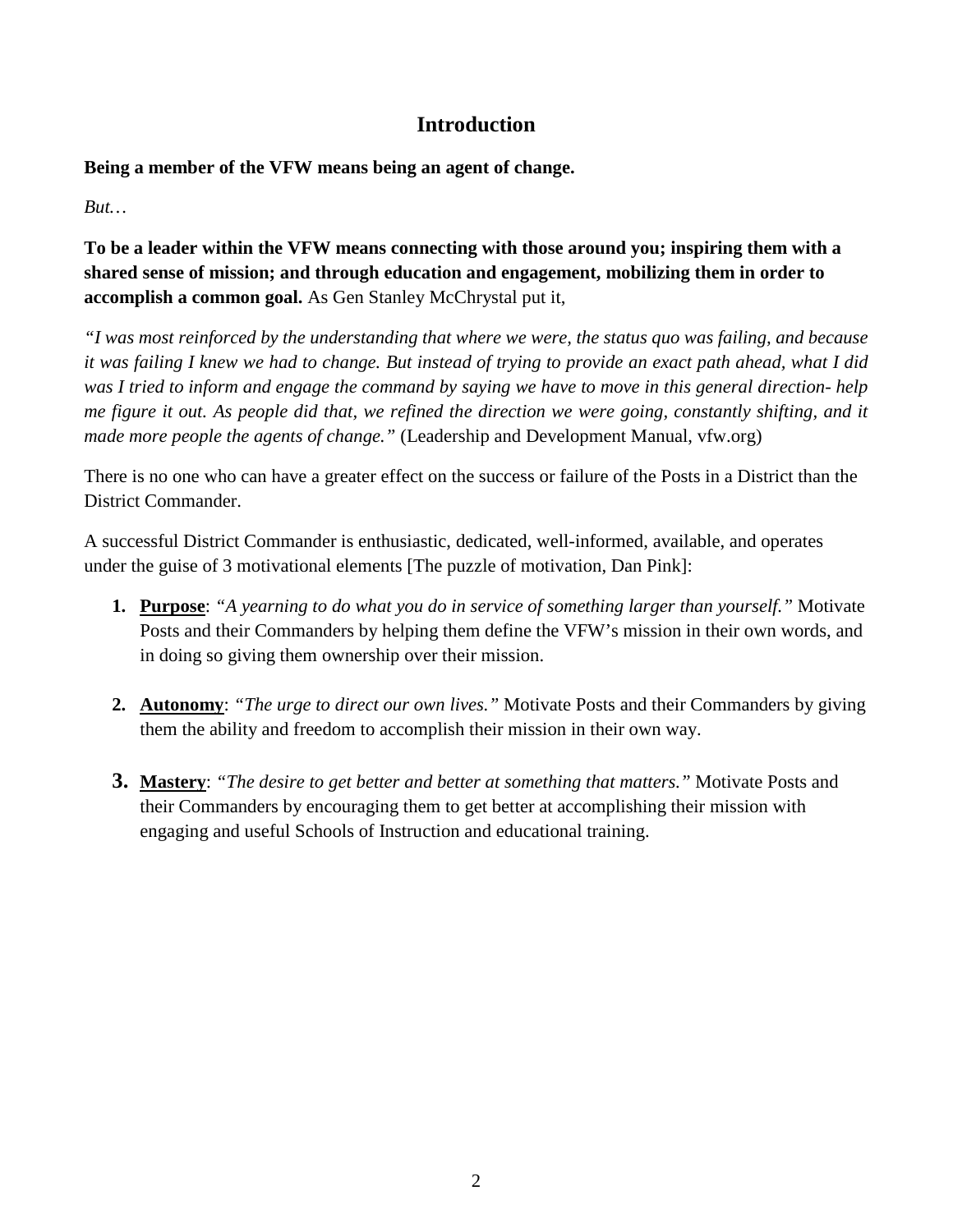# **Introduction**

## **Being a member of the VFW means being an agent of change.**

*But…* 

**To be a leader within the VFW means connecting with those around you; inspiring them with a shared sense of mission; and through education and engagement, mobilizing them in order to accomplish a common goal.** As Gen Stanley McChrystal put it,

*"I was most reinforced by the understanding that where we were, the status quo was failing, and because it was failing I knew we had to change. But instead of trying to provide an exact path ahead, what I did was I tried to inform and engage the command by saying we have to move in this general direction- help me figure it out. As people did that, we refined the direction we were going, constantly shifting, and it made more people the agents of change."* (Leadership and Development Manual, vfw.org)

There is no one who can have a greater effect on the success or failure of the Posts in a District than the District Commander.

A successful District Commander is enthusiastic, dedicated, well-informed, available, and operates under the guise of 3 motivational elements [The puzzle of motivation, Dan Pink]:

- **1. Purpose**: *"A yearning to do what you do in service of something larger than yourself."* Motivate Posts and their Commanders by helping them define the VFW's mission in their own words, and in doing so giving them ownership over their mission.
- **2. Autonomy**: *"The urge to direct our own lives."* Motivate Posts and their Commanders by giving them the ability and freedom to accomplish their mission in their own way.
- **3. Mastery**: *"The desire to get better and better at something that matters."* Motivate Posts and their Commanders by encouraging them to get better at accomplishing their mission with engaging and useful Schools of Instruction and educational training.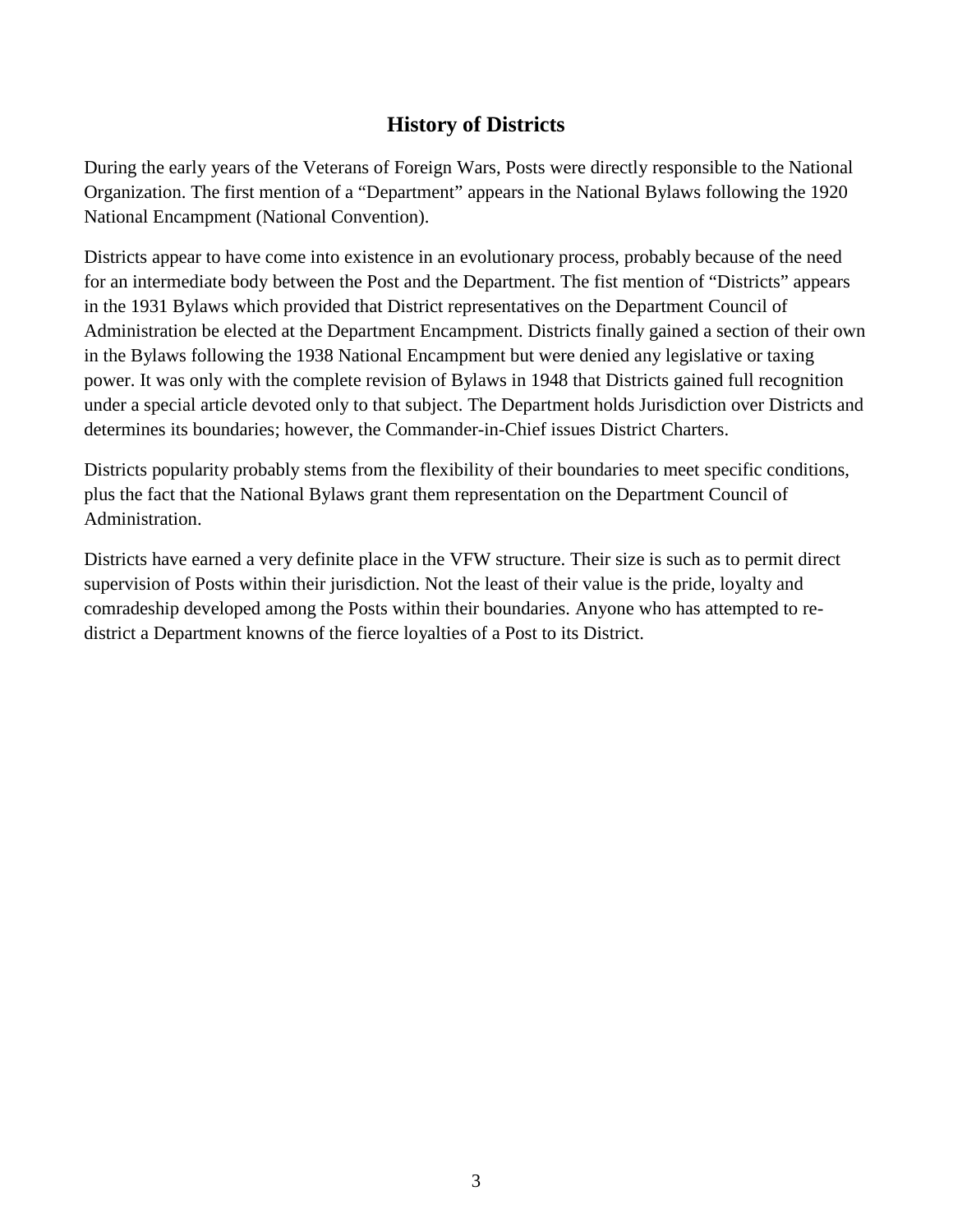# **History of Districts**

During the early years of the Veterans of Foreign Wars, Posts were directly responsible to the National Organization. The first mention of a "Department" appears in the National Bylaws following the 1920 National Encampment (National Convention).

Districts appear to have come into existence in an evolutionary process, probably because of the need for an intermediate body between the Post and the Department. The fist mention of "Districts" appears in the 1931 Bylaws which provided that District representatives on the Department Council of Administration be elected at the Department Encampment. Districts finally gained a section of their own in the Bylaws following the 1938 National Encampment but were denied any legislative or taxing power. It was only with the complete revision of Bylaws in 1948 that Districts gained full recognition under a special article devoted only to that subject. The Department holds Jurisdiction over Districts and determines its boundaries; however, the Commander-in-Chief issues District Charters.

Districts popularity probably stems from the flexibility of their boundaries to meet specific conditions, plus the fact that the National Bylaws grant them representation on the Department Council of Administration.

Districts have earned a very definite place in the VFW structure. Their size is such as to permit direct supervision of Posts within their jurisdiction. Not the least of their value is the pride, loyalty and comradeship developed among the Posts within their boundaries. Anyone who has attempted to redistrict a Department knowns of the fierce loyalties of a Post to its District.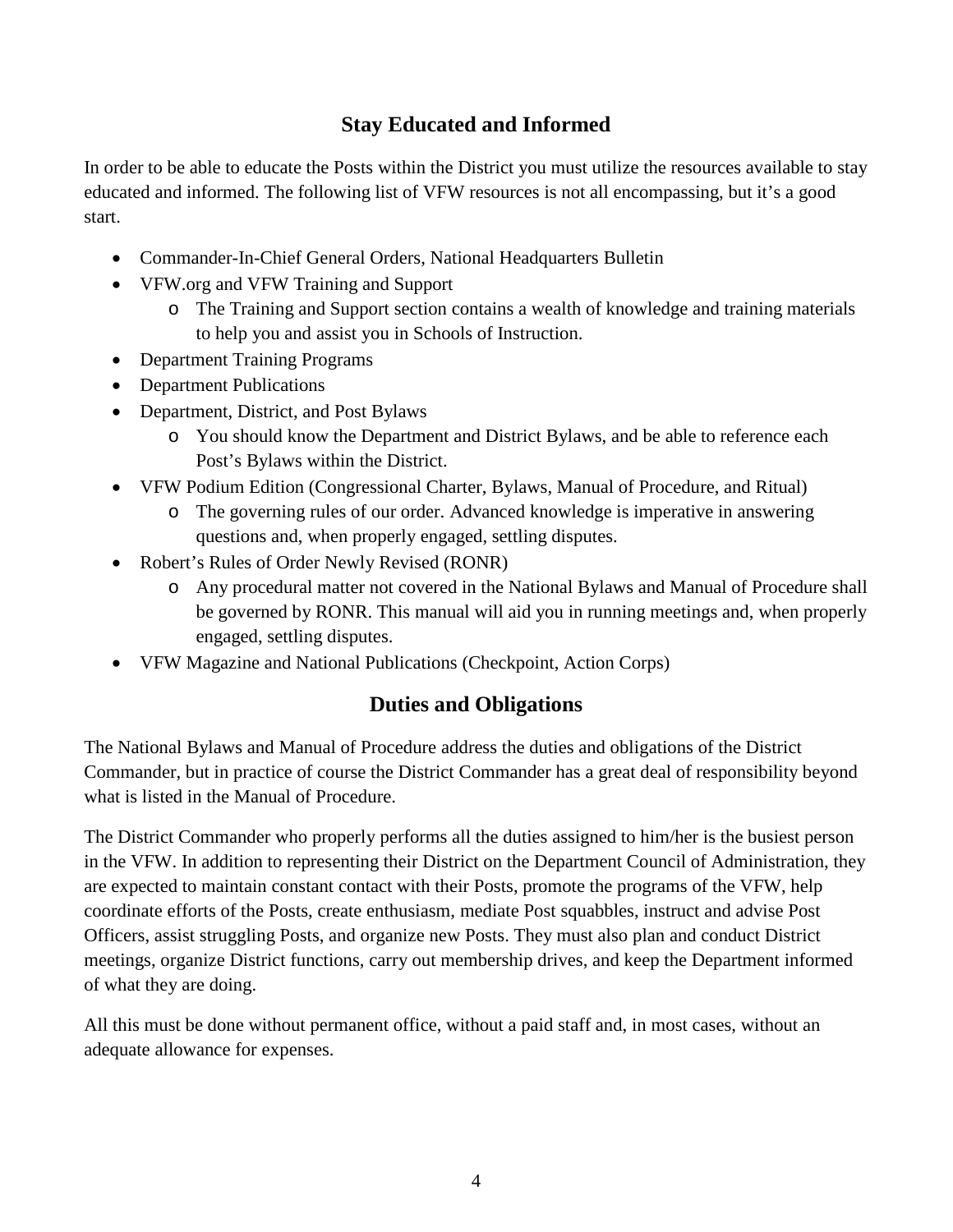# **Stay Educated and Informed**

In order to be able to educate the Posts within the District you must utilize the resources available to stay educated and informed. The following list of VFW resources is not all encompassing, but it's a good start.

- Commander-In-Chief General Orders, National Headquarters Bulletin
- VFW.org and VFW Training and Support
	- o The Training and Support section contains a wealth of knowledge and training materials to help you and assist you in Schools of Instruction.
- Department Training Programs
- Department Publications
- Department, District, and Post Bylaws
	- o You should know the Department and District Bylaws, and be able to reference each Post's Bylaws within the District.
- VFW Podium Edition (Congressional Charter, Bylaws, Manual of Procedure, and Ritual)
	- o The governing rules of our order. Advanced knowledge is imperative in answering questions and, when properly engaged, settling disputes.
- Robert's Rules of Order Newly Revised (RONR)
	- o Any procedural matter not covered in the National Bylaws and Manual of Procedure shall be governed by RONR. This manual will aid you in running meetings and, when properly engaged, settling disputes.
- VFW Magazine and National Publications (Checkpoint, Action Corps)

# **Duties and Obligations**

The National Bylaws and Manual of Procedure address the duties and obligations of the District Commander, but in practice of course the District Commander has a great deal of responsibility beyond what is listed in the Manual of Procedure.

The District Commander who properly performs all the duties assigned to him/her is the busiest person in the VFW. In addition to representing their District on the Department Council of Administration, they are expected to maintain constant contact with their Posts, promote the programs of the VFW, help coordinate efforts of the Posts, create enthusiasm, mediate Post squabbles, instruct and advise Post Officers, assist struggling Posts, and organize new Posts. They must also plan and conduct District meetings, organize District functions, carry out membership drives, and keep the Department informed of what they are doing.

All this must be done without permanent office, without a paid staff and, in most cases, without an adequate allowance for expenses.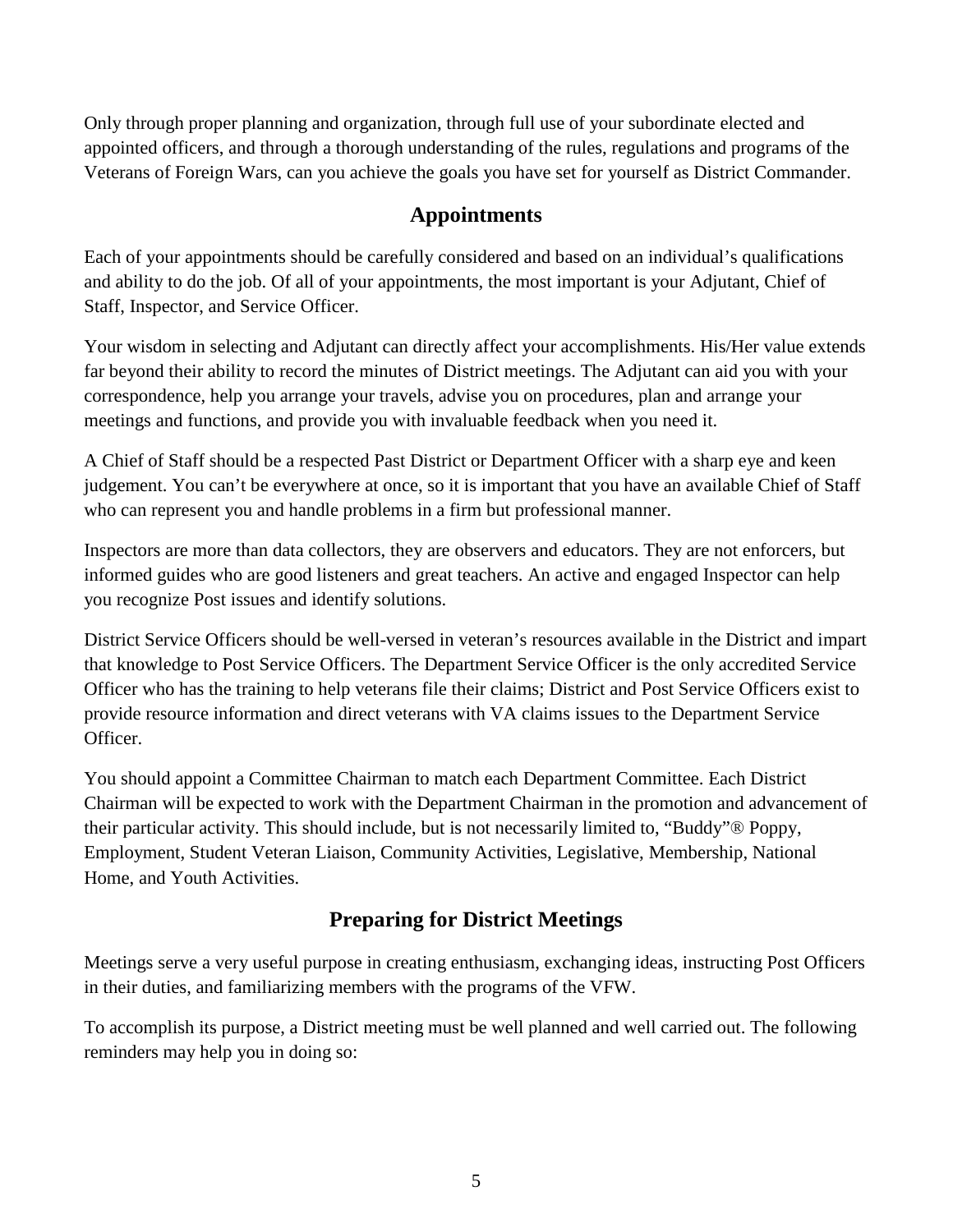Only through proper planning and organization, through full use of your subordinate elected and appointed officers, and through a thorough understanding of the rules, regulations and programs of the Veterans of Foreign Wars, can you achieve the goals you have set for yourself as District Commander.

## **Appointments**

Each of your appointments should be carefully considered and based on an individual's qualifications and ability to do the job. Of all of your appointments, the most important is your Adjutant, Chief of Staff, Inspector, and Service Officer.

Your wisdom in selecting and Adjutant can directly affect your accomplishments. His/Her value extends far beyond their ability to record the minutes of District meetings. The Adjutant can aid you with your correspondence, help you arrange your travels, advise you on procedures, plan and arrange your meetings and functions, and provide you with invaluable feedback when you need it.

A Chief of Staff should be a respected Past District or Department Officer with a sharp eye and keen judgement. You can't be everywhere at once, so it is important that you have an available Chief of Staff who can represent you and handle problems in a firm but professional manner.

Inspectors are more than data collectors, they are observers and educators. They are not enforcers, but informed guides who are good listeners and great teachers. An active and engaged Inspector can help you recognize Post issues and identify solutions.

District Service Officers should be well-versed in veteran's resources available in the District and impart that knowledge to Post Service Officers. The Department Service Officer is the only accredited Service Officer who has the training to help veterans file their claims; District and Post Service Officers exist to provide resource information and direct veterans with VA claims issues to the Department Service Officer.

You should appoint a Committee Chairman to match each Department Committee. Each District Chairman will be expected to work with the Department Chairman in the promotion and advancement of their particular activity. This should include, but is not necessarily limited to, "Buddy"® Poppy, Employment, Student Veteran Liaison, Community Activities, Legislative, Membership, National Home, and Youth Activities.

# **Preparing for District Meetings**

Meetings serve a very useful purpose in creating enthusiasm, exchanging ideas, instructing Post Officers in their duties, and familiarizing members with the programs of the VFW.

To accomplish its purpose, a District meeting must be well planned and well carried out. The following reminders may help you in doing so: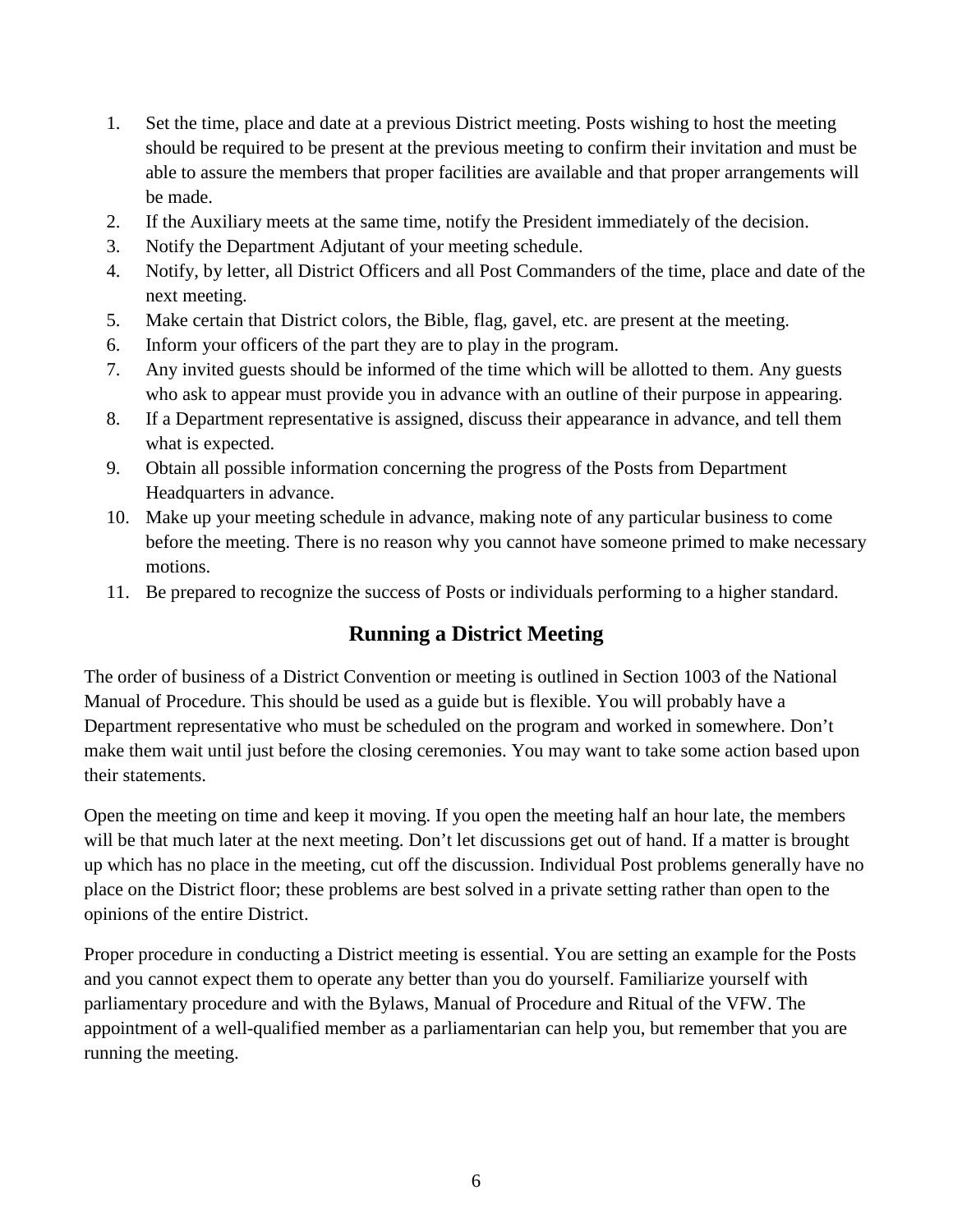- 1. Set the time, place and date at a previous District meeting. Posts wishing to host the meeting should be required to be present at the previous meeting to confirm their invitation and must be able to assure the members that proper facilities are available and that proper arrangements will be made.
- 2. If the Auxiliary meets at the same time, notify the President immediately of the decision.
- 3. Notify the Department Adjutant of your meeting schedule.
- 4. Notify, by letter, all District Officers and all Post Commanders of the time, place and date of the next meeting.
- 5. Make certain that District colors, the Bible, flag, gavel, etc. are present at the meeting.
- 6. Inform your officers of the part they are to play in the program.
- 7. Any invited guests should be informed of the time which will be allotted to them. Any guests who ask to appear must provide you in advance with an outline of their purpose in appearing.
- 8. If a Department representative is assigned, discuss their appearance in advance, and tell them what is expected.
- 9. Obtain all possible information concerning the progress of the Posts from Department Headquarters in advance.
- 10. Make up your meeting schedule in advance, making note of any particular business to come before the meeting. There is no reason why you cannot have someone primed to make necessary motions.
- 11. Be prepared to recognize the success of Posts or individuals performing to a higher standard.

# **Running a District Meeting**

The order of business of a District Convention or meeting is outlined in Section 1003 of the National Manual of Procedure. This should be used as a guide but is flexible. You will probably have a Department representative who must be scheduled on the program and worked in somewhere. Don't make them wait until just before the closing ceremonies. You may want to take some action based upon their statements.

Open the meeting on time and keep it moving. If you open the meeting half an hour late, the members will be that much later at the next meeting. Don't let discussions get out of hand. If a matter is brought up which has no place in the meeting, cut off the discussion. Individual Post problems generally have no place on the District floor; these problems are best solved in a private setting rather than open to the opinions of the entire District.

Proper procedure in conducting a District meeting is essential. You are setting an example for the Posts and you cannot expect them to operate any better than you do yourself. Familiarize yourself with parliamentary procedure and with the Bylaws, Manual of Procedure and Ritual of the VFW. The appointment of a well-qualified member as a parliamentarian can help you, but remember that you are running the meeting.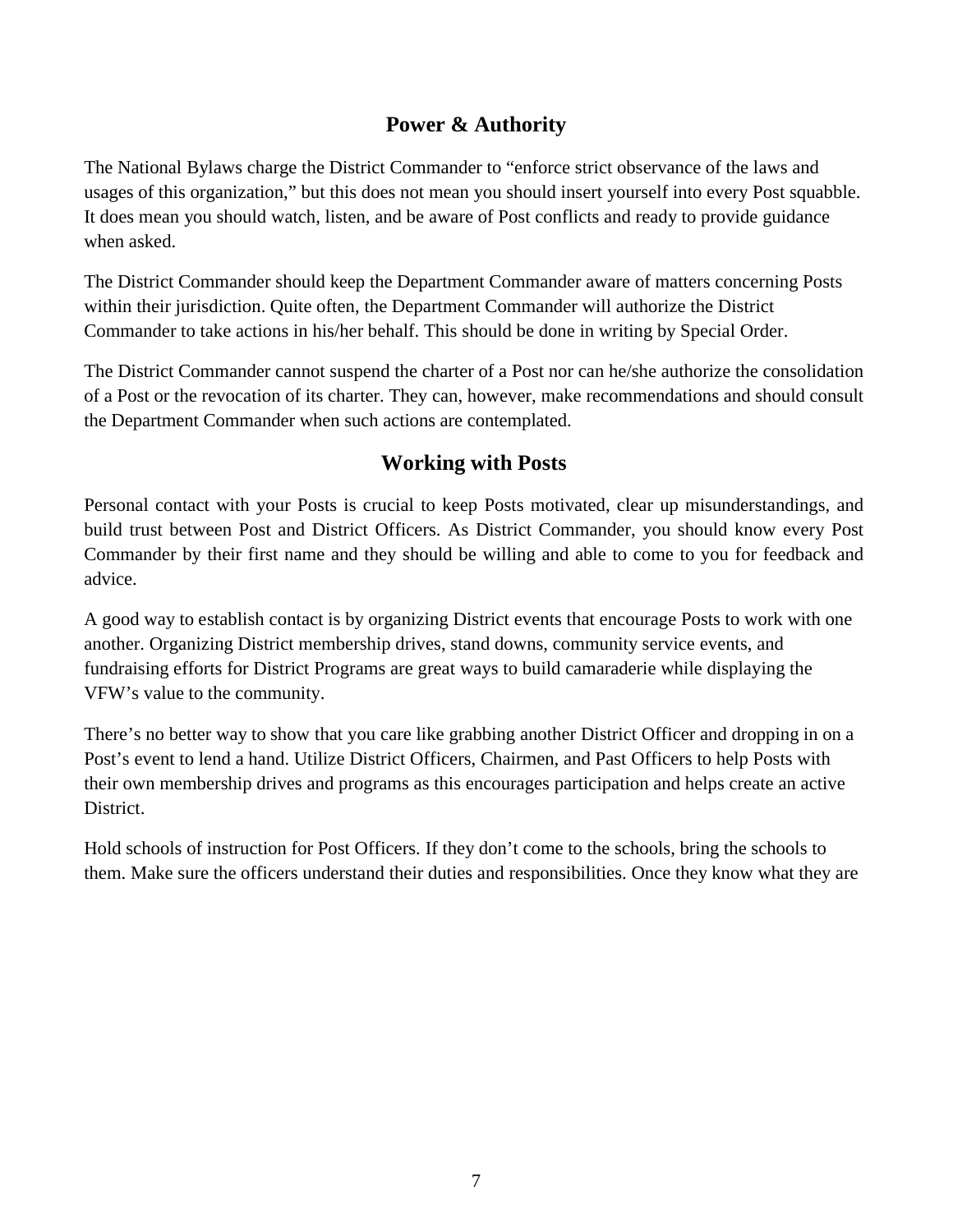# **Power & Authority**

The National Bylaws charge the District Commander to "enforce strict observance of the laws and usages of this organization," but this does not mean you should insert yourself into every Post squabble. It does mean you should watch, listen, and be aware of Post conflicts and ready to provide guidance when asked.

The District Commander should keep the Department Commander aware of matters concerning Posts within their jurisdiction. Quite often, the Department Commander will authorize the District Commander to take actions in his/her behalf. This should be done in writing by Special Order.

The District Commander cannot suspend the charter of a Post nor can he/she authorize the consolidation of a Post or the revocation of its charter. They can, however, make recommendations and should consult the Department Commander when such actions are contemplated.

# **Working with Posts**

Personal contact with your Posts is crucial to keep Posts motivated, clear up misunderstandings, and build trust between Post and District Officers. As District Commander, you should know every Post Commander by their first name and they should be willing and able to come to you for feedback and advice.

A good way to establish contact is by organizing District events that encourage Posts to work with one another. Organizing District membership drives, stand downs, community service events, and fundraising efforts for District Programs are great ways to build camaraderie while displaying the VFW's value to the community.

There's no better way to show that you care like grabbing another District Officer and dropping in on a Post's event to lend a hand. Utilize District Officers, Chairmen, and Past Officers to help Posts with their own membership drives and programs as this encourages participation and helps create an active District.

Hold schools of instruction for Post Officers. If they don't come to the schools, bring the schools to them. Make sure the officers understand their duties and responsibilities. Once they know what they are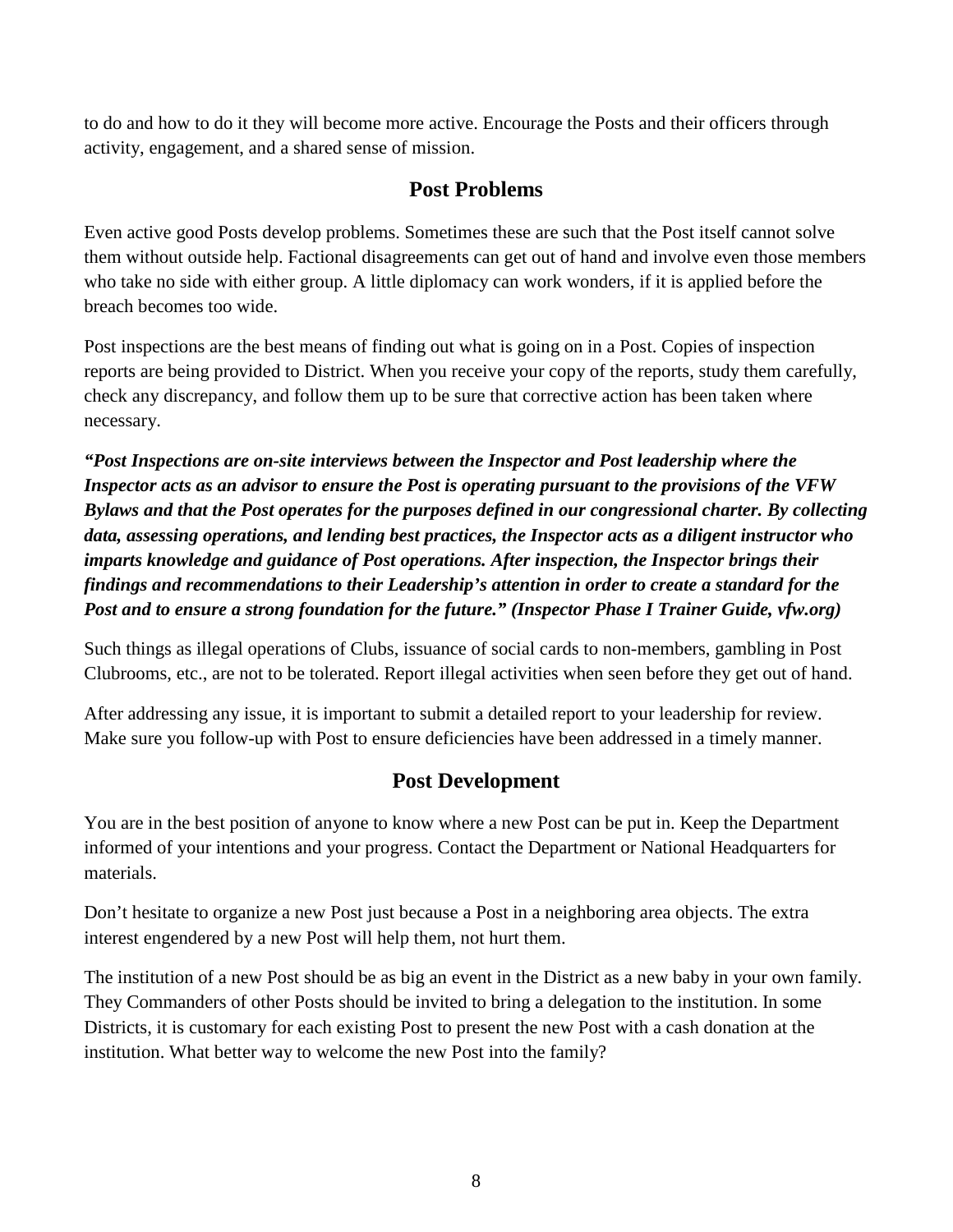to do and how to do it they will become more active. Encourage the Posts and their officers through activity, engagement, and a shared sense of mission.

# **Post Problems**

Even active good Posts develop problems. Sometimes these are such that the Post itself cannot solve them without outside help. Factional disagreements can get out of hand and involve even those members who take no side with either group. A little diplomacy can work wonders, if it is applied before the breach becomes too wide.

Post inspections are the best means of finding out what is going on in a Post. Copies of inspection reports are being provided to District. When you receive your copy of the reports, study them carefully, check any discrepancy, and follow them up to be sure that corrective action has been taken where necessary.

*"Post Inspections are on-site interviews between the Inspector and Post leadership where the Inspector acts as an advisor to ensure the Post is operating pursuant to the provisions of the VFW Bylaws and that the Post operates for the purposes defined in our congressional charter. By collecting data, assessing operations, and lending best practices, the Inspector acts as a diligent instructor who imparts knowledge and guidance of Post operations. After inspection, the Inspector brings their findings and recommendations to their Leadership's attention in order to create a standard for the Post and to ensure a strong foundation for the future." (Inspector Phase I Trainer Guide, vfw.org)* 

Such things as illegal operations of Clubs, issuance of social cards to non-members, gambling in Post Clubrooms, etc., are not to be tolerated. Report illegal activities when seen before they get out of hand.

After addressing any issue, it is important to submit a detailed report to your leadership for review. Make sure you follow-up with Post to ensure deficiencies have been addressed in a timely manner.

# **Post Development**

You are in the best position of anyone to know where a new Post can be put in. Keep the Department informed of your intentions and your progress. Contact the Department or National Headquarters for materials.

Don't hesitate to organize a new Post just because a Post in a neighboring area objects. The extra interest engendered by a new Post will help them, not hurt them.

The institution of a new Post should be as big an event in the District as a new baby in your own family. They Commanders of other Posts should be invited to bring a delegation to the institution. In some Districts, it is customary for each existing Post to present the new Post with a cash donation at the institution. What better way to welcome the new Post into the family?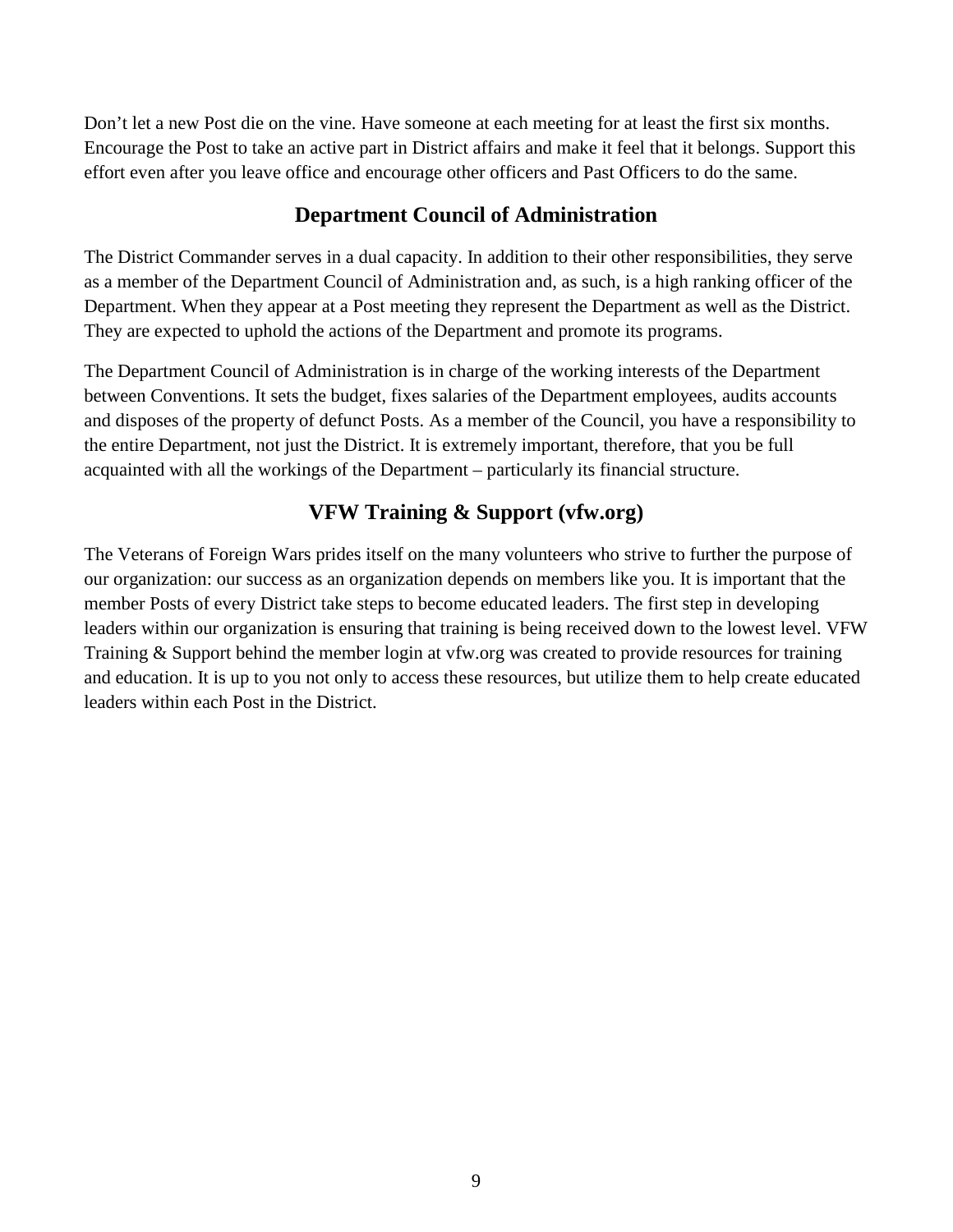Don't let a new Post die on the vine. Have someone at each meeting for at least the first six months. Encourage the Post to take an active part in District affairs and make it feel that it belongs. Support this effort even after you leave office and encourage other officers and Past Officers to do the same.

# **Department Council of Administration**

The District Commander serves in a dual capacity. In addition to their other responsibilities, they serve as a member of the Department Council of Administration and, as such, is a high ranking officer of the Department. When they appear at a Post meeting they represent the Department as well as the District. They are expected to uphold the actions of the Department and promote its programs.

The Department Council of Administration is in charge of the working interests of the Department between Conventions. It sets the budget, fixes salaries of the Department employees, audits accounts and disposes of the property of defunct Posts. As a member of the Council, you have a responsibility to the entire Department, not just the District. It is extremely important, therefore, that you be full acquainted with all the workings of the Department – particularly its financial structure.

# **VFW Training & Support (vfw.org)**

The Veterans of Foreign Wars prides itself on the many volunteers who strive to further the purpose of our organization: our success as an organization depends on members like you. It is important that the member Posts of every District take steps to become educated leaders. The first step in developing leaders within our organization is ensuring that training is being received down to the lowest level. VFW Training & Support behind the member login at vfw.org was created to provide resources for training and education. It is up to you not only to access these resources, but utilize them to help create educated leaders within each Post in the District.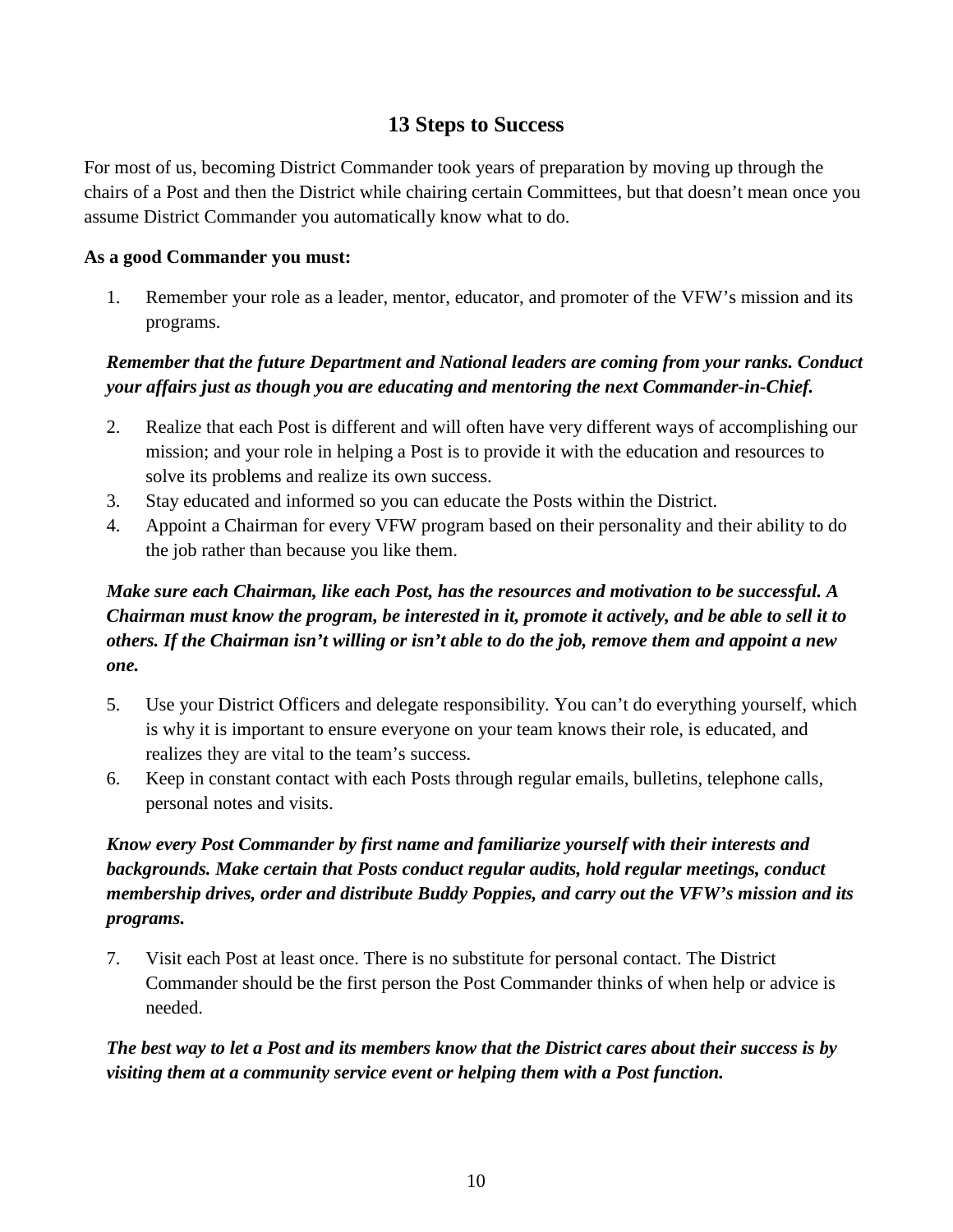# **13 Steps to Success**

For most of us, becoming District Commander took years of preparation by moving up through the chairs of a Post and then the District while chairing certain Committees, but that doesn't mean once you assume District Commander you automatically know what to do.

### **As a good Commander you must:**

1. Remember your role as a leader, mentor, educator, and promoter of the VFW's mission and its programs.

# *Remember that the future Department and National leaders are coming from your ranks. Conduct your affairs just as though you are educating and mentoring the next Commander-in-Chief.*

- 2. Realize that each Post is different and will often have very different ways of accomplishing our mission; and your role in helping a Post is to provide it with the education and resources to solve its problems and realize its own success.
- 3. Stay educated and informed so you can educate the Posts within the District.
- 4. Appoint a Chairman for every VFW program based on their personality and their ability to do the job rather than because you like them.

# *Make sure each Chairman, like each Post, has the resources and motivation to be successful. A Chairman must know the program, be interested in it, promote it actively, and be able to sell it to others. If the Chairman isn't willing or isn't able to do the job, remove them and appoint a new one.*

- 5. Use your District Officers and delegate responsibility. You can't do everything yourself, which is why it is important to ensure everyone on your team knows their role, is educated, and realizes they are vital to the team's success.
- 6. Keep in constant contact with each Posts through regular emails, bulletins, telephone calls, personal notes and visits.

# *Know every Post Commander by first name and familiarize yourself with their interests and backgrounds. Make certain that Posts conduct regular audits, hold regular meetings, conduct membership drives, order and distribute Buddy Poppies, and carry out the VFW's mission and its programs.*

7. Visit each Post at least once. There is no substitute for personal contact. The District Commander should be the first person the Post Commander thinks of when help or advice is needed.

*The best way to let a Post and its members know that the District cares about their success is by visiting them at a community service event or helping them with a Post function.*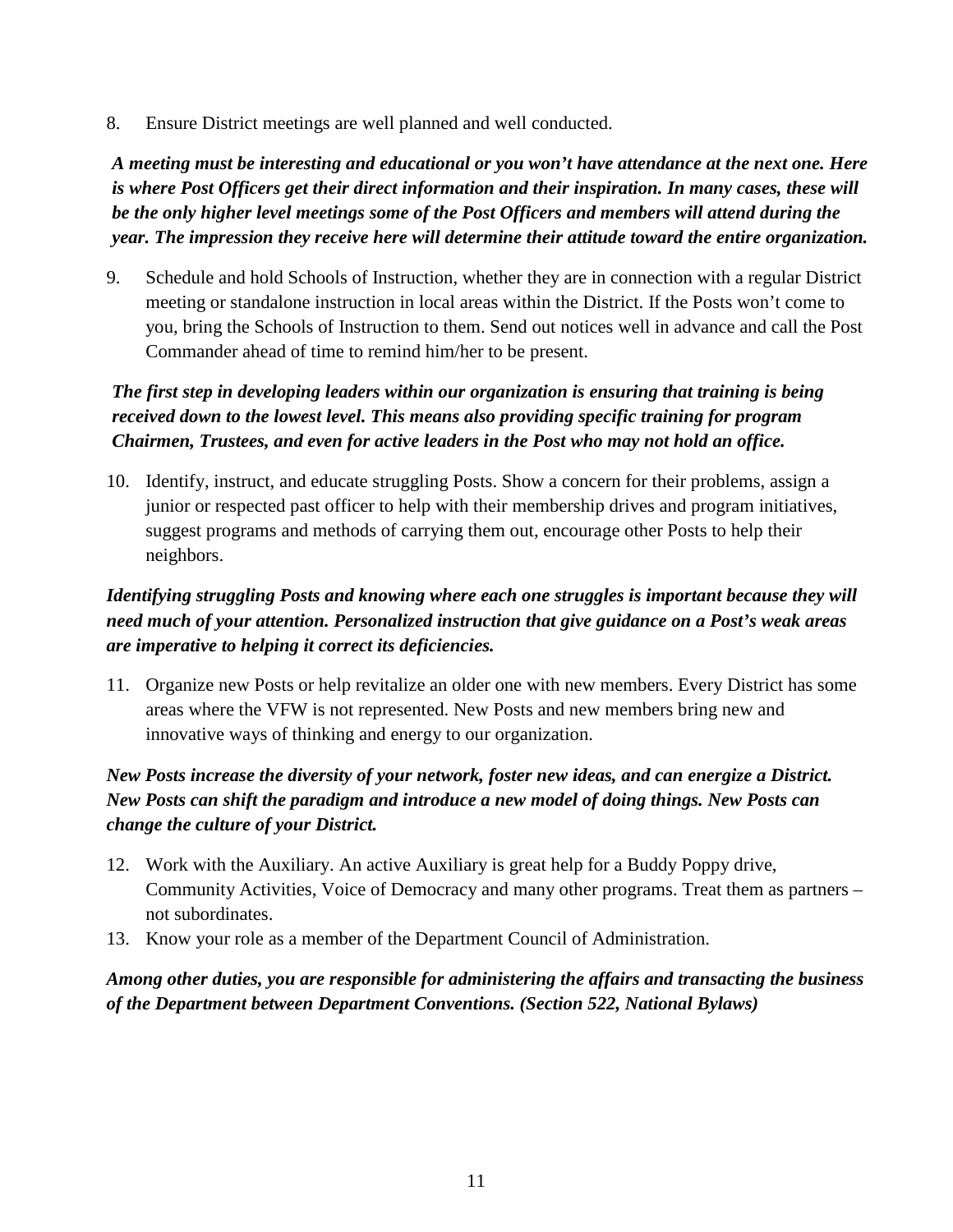8. Ensure District meetings are well planned and well conducted.

*A meeting must be interesting and educational or you won't have attendance at the next one. Here is where Post Officers get their direct information and their inspiration. In many cases, these will be the only higher level meetings some of the Post Officers and members will attend during the year. The impression they receive here will determine their attitude toward the entire organization.* 

9. Schedule and hold Schools of Instruction, whether they are in connection with a regular District meeting or standalone instruction in local areas within the District. If the Posts won't come to you, bring the Schools of Instruction to them. Send out notices well in advance and call the Post Commander ahead of time to remind him/her to be present.

## *The first step in developing leaders within our organization is ensuring that training is being received down to the lowest level. This means also providing specific training for program Chairmen, Trustees, and even for active leaders in the Post who may not hold an office.*

10. Identify, instruct, and educate struggling Posts. Show a concern for their problems, assign a junior or respected past officer to help with their membership drives and program initiatives, suggest programs and methods of carrying them out, encourage other Posts to help their neighbors.

## *Identifying struggling Posts and knowing where each one struggles is important because they will need much of your attention. Personalized instruction that give guidance on a Post's weak areas are imperative to helping it correct its deficiencies.*

11. Organize new Posts or help revitalize an older one with new members. Every District has some areas where the VFW is not represented. New Posts and new members bring new and innovative ways of thinking and energy to our organization.

## *New Posts increase the diversity of your network, foster new ideas, and can energize a District. New Posts can shift the paradigm and introduce a new model of doing things. New Posts can change the culture of your District.*

- 12. Work with the Auxiliary. An active Auxiliary is great help for a Buddy Poppy drive, Community Activities, Voice of Democracy and many other programs. Treat them as partners – not subordinates.
- 13. Know your role as a member of the Department Council of Administration.

## *Among other duties, you are responsible for administering the affairs and transacting the business of the Department between Department Conventions. (Section 522, National Bylaws)*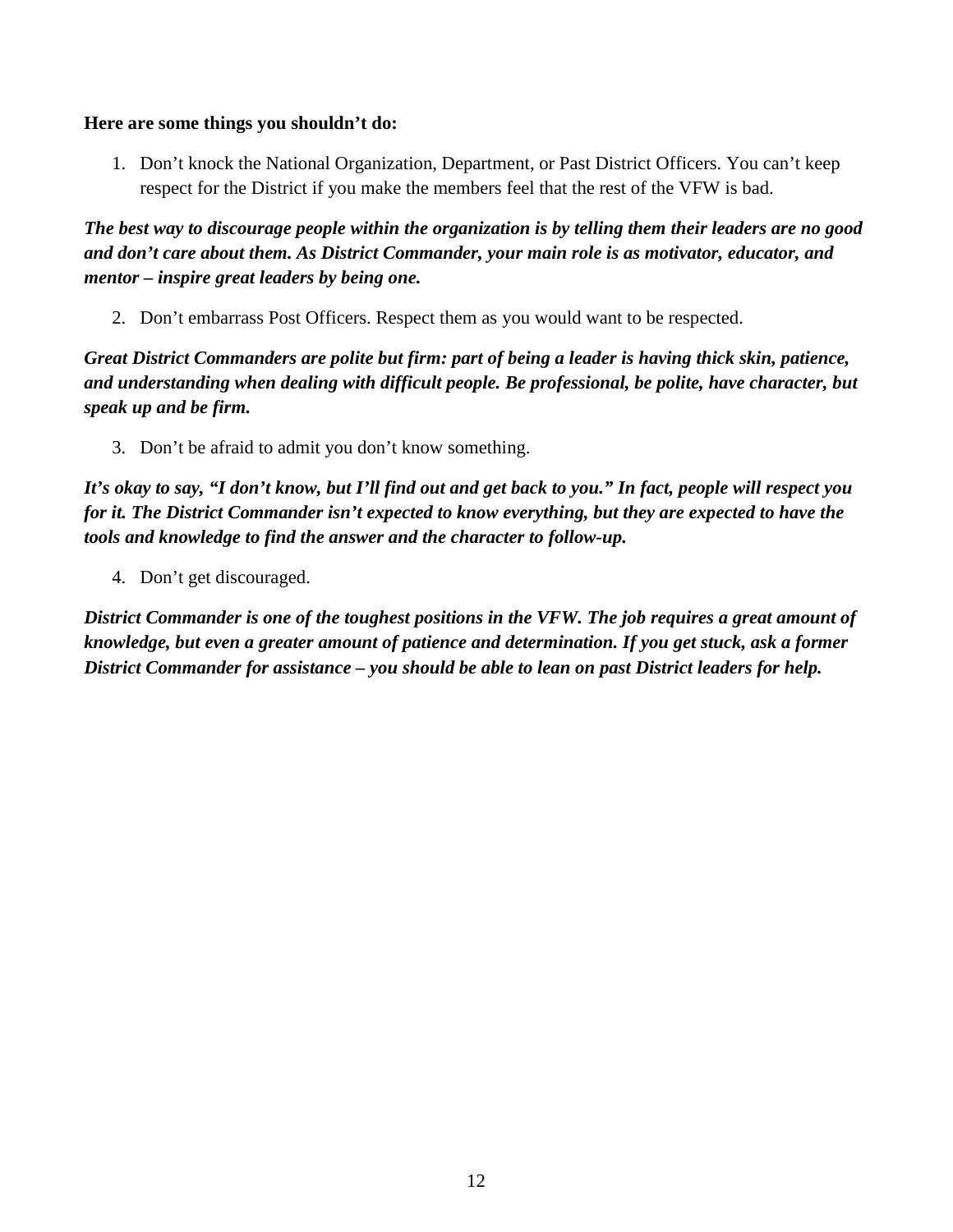#### **Here are some things you shouldn't do:**

1. Don't knock the National Organization, Department, or Past District Officers. You can't keep respect for the District if you make the members feel that the rest of the VFW is bad.

*The best way to discourage people within the organization is by telling them their leaders are no good and don't care about them. As District Commander, your main role is as motivator, educator, and mentor – inspire great leaders by being one.* 

2. Don't embarrass Post Officers. Respect them as you would want to be respected.

*Great District Commanders are polite but firm: part of being a leader is having thick skin, patience, and understanding when dealing with difficult people. Be professional, be polite, have character, but speak up and be firm.* 

3. Don't be afraid to admit you don't know something.

*It's okay to say, "I don't know, but I'll find out and get back to you." In fact, people will respect you for it. The District Commander isn't expected to know everything, but they are expected to have the tools and knowledge to find the answer and the character to follow-up.* 

4. Don't get discouraged.

*District Commander is one of the toughest positions in the VFW. The job requires a great amount of knowledge, but even a greater amount of patience and determination. If you get stuck, ask a former District Commander for assistance – you should be able to lean on past District leaders for help.*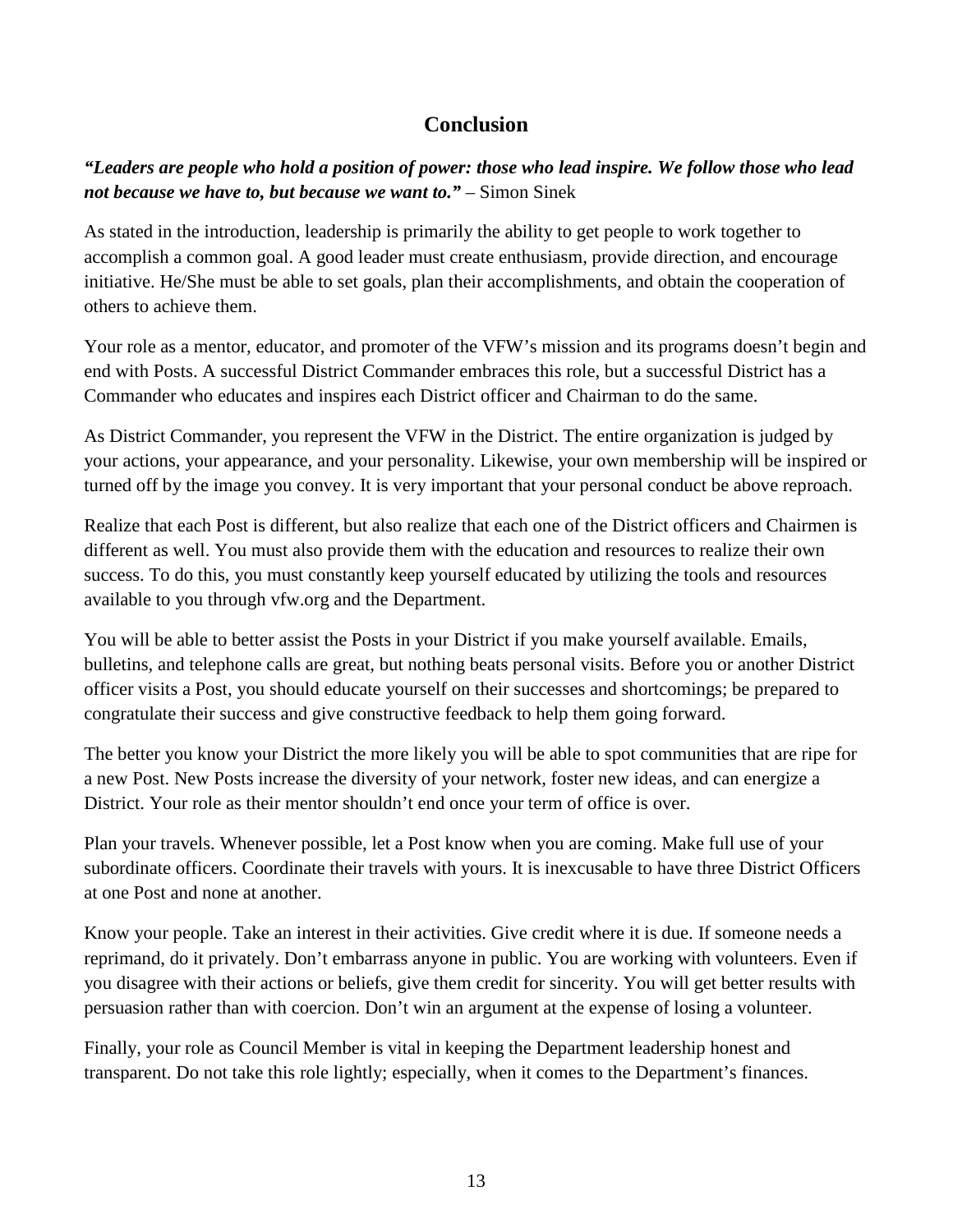# **Conclusion**

*"Leaders are people who hold a position of power: those who lead inspire. We follow those who lead not because we have to, but because we want to."* – Simon Sinek

As stated in the introduction, leadership is primarily the ability to get people to work together to accomplish a common goal. A good leader must create enthusiasm, provide direction, and encourage initiative. He/She must be able to set goals, plan their accomplishments, and obtain the cooperation of others to achieve them.

Your role as a mentor, educator, and promoter of the VFW's mission and its programs doesn't begin and end with Posts. A successful District Commander embraces this role, but a successful District has a Commander who educates and inspires each District officer and Chairman to do the same.

As District Commander, you represent the VFW in the District. The entire organization is judged by your actions, your appearance, and your personality. Likewise, your own membership will be inspired or turned off by the image you convey. It is very important that your personal conduct be above reproach.

Realize that each Post is different, but also realize that each one of the District officers and Chairmen is different as well. You must also provide them with the education and resources to realize their own success. To do this, you must constantly keep yourself educated by utilizing the tools and resources available to you through vfw.org and the Department.

You will be able to better assist the Posts in your District if you make yourself available. Emails, bulletins, and telephone calls are great, but nothing beats personal visits. Before you or another District officer visits a Post, you should educate yourself on their successes and shortcomings; be prepared to congratulate their success and give constructive feedback to help them going forward.

The better you know your District the more likely you will be able to spot communities that are ripe for a new Post. New Posts increase the diversity of your network, foster new ideas, and can energize a District. Your role as their mentor shouldn't end once your term of office is over.

Plan your travels. Whenever possible, let a Post know when you are coming. Make full use of your subordinate officers. Coordinate their travels with yours. It is inexcusable to have three District Officers at one Post and none at another.

Know your people. Take an interest in their activities. Give credit where it is due. If someone needs a reprimand, do it privately. Don't embarrass anyone in public. You are working with volunteers. Even if you disagree with their actions or beliefs, give them credit for sincerity. You will get better results with persuasion rather than with coercion. Don't win an argument at the expense of losing a volunteer.

Finally, your role as Council Member is vital in keeping the Department leadership honest and transparent. Do not take this role lightly; especially, when it comes to the Department's finances.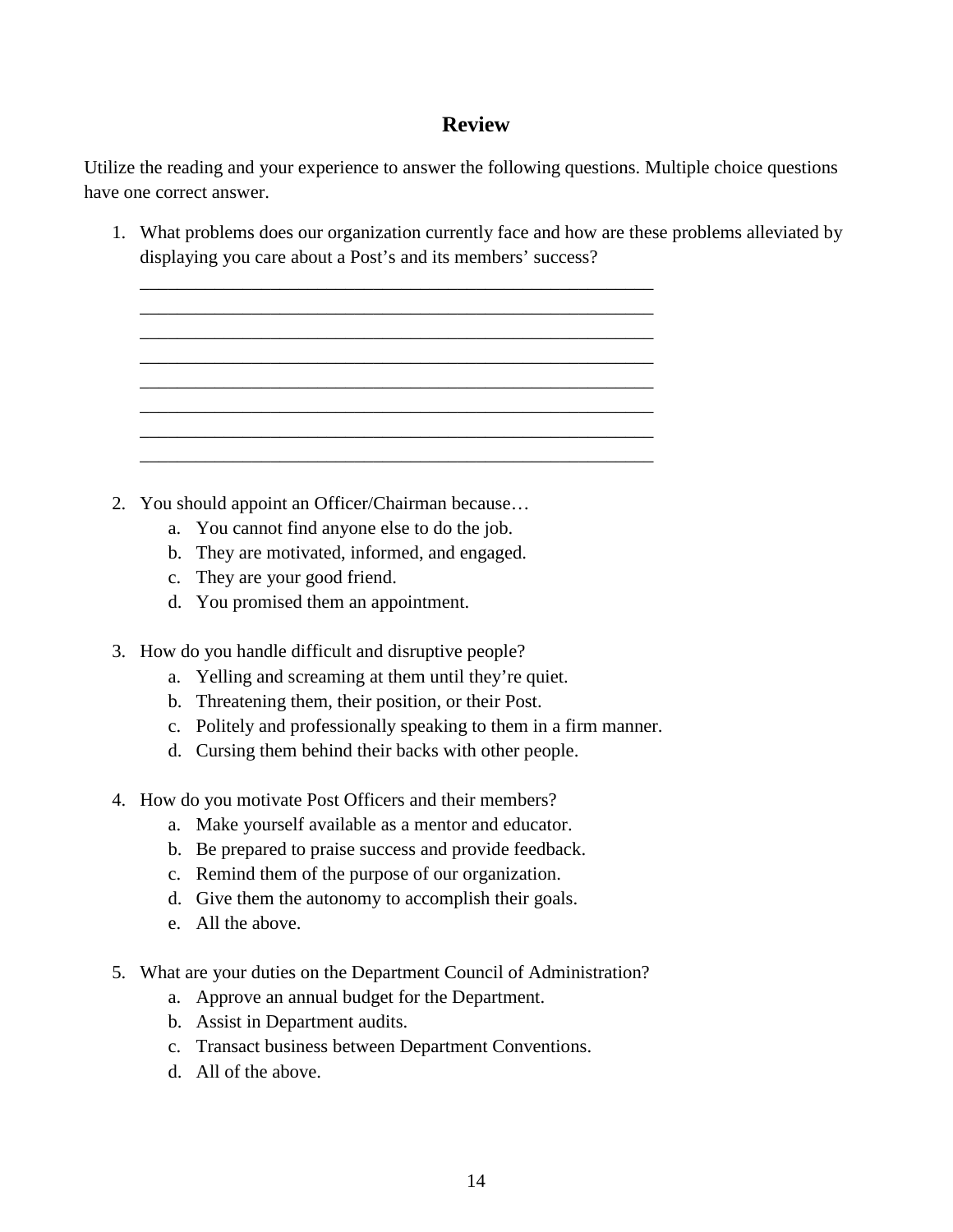# **Review**

Utilize the reading and your experience to answer the following questions. Multiple choice questions have one correct answer.

1. What problems does our organization currently face and how are these problems alleviated by displaying you care about a Post's and its members' success?

| 2. You should appoint an Officer/Chairman because |
|---------------------------------------------------|

\_\_\_\_\_\_\_\_\_\_\_\_\_\_\_\_\_\_\_\_\_\_\_\_\_\_\_\_\_\_\_\_\_\_\_\_\_\_\_\_\_\_\_\_\_\_\_\_\_\_\_\_\_\_\_

- a. You cannot find anyone else to do the job.
- b. They are motivated, informed, and engaged.
- c. They are your good friend.
- d. You promised them an appointment.
- 3. How do you handle difficult and disruptive people?
	- a. Yelling and screaming at them until they're quiet.
	- b. Threatening them, their position, or their Post.
	- c. Politely and professionally speaking to them in a firm manner.
	- d. Cursing them behind their backs with other people.
- 4. How do you motivate Post Officers and their members?
	- a. Make yourself available as a mentor and educator.
	- b. Be prepared to praise success and provide feedback.
	- c. Remind them of the purpose of our organization.
	- d. Give them the autonomy to accomplish their goals.
	- e. All the above.
- 5. What are your duties on the Department Council of Administration?
	- a. Approve an annual budget for the Department.
	- b. Assist in Department audits.
	- c. Transact business between Department Conventions.
	- d. All of the above.